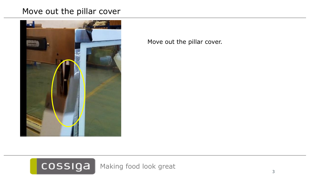## Move out the pillar cover



Move out the pillar cover.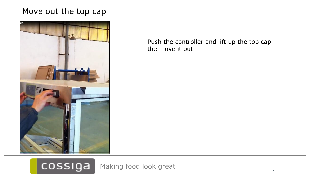## Move out the top cap



Push the controller and lift up the top cap the move it out.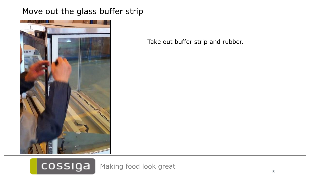## Move out the glass buffer strip



Take out buffer strip and rubber.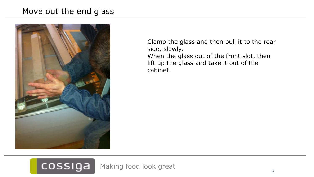## Move out the end glass



Clamp the glass and then pull it to the rear side, slowly. When the glass out of the front slot, then lift up the glass and take it out of the cabinet.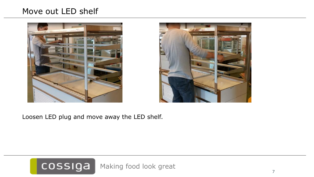## Move out LED shelf





Loosen LED plug and move away the LED shelf.

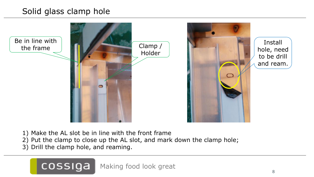## Solid glass clamp hole



- 1) Make the AL slot be in line with the front frame
- 2) Put the clamp to close up the AL slot, and mark down the clamp hole;
- 3) Drill the clamp hole, and reaming.

cossiga

Making food look great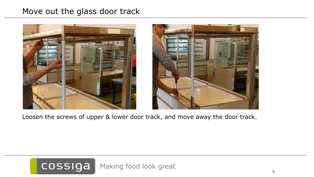### Move out the glass door track





Loosen the screws of upper & lower door track, and move away the door track.

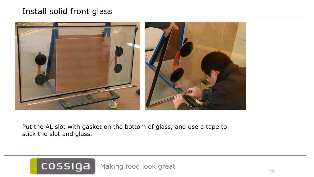## Install solid front glass



Put the AL slot with gasket on the bottom of glass, and use a tape to stick the slot and glass.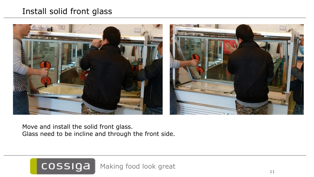## Install solid front glass



Move and install the solid front glass. Glass need to be incline and through the front side.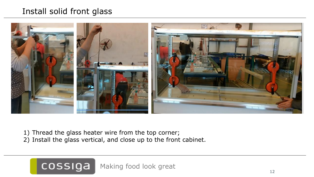## Install solid front glass



- 1) Thread the glass heater wire from the top corner;
- 2) Install the glass vertical, and close up to the front cabinet.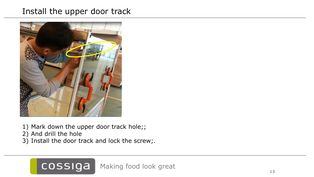## Install the upper door track



- 1) Mark down the upper door track hole;;
- 2) And drill the hole
- 3) Install the door track and lock the screw;.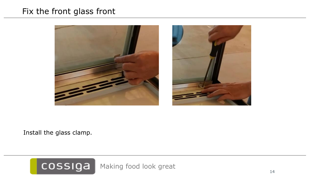## Fix the front glass front



Install the glass clamp.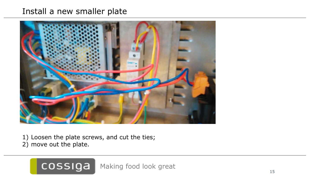## Install a new smaller plate



1) Loosen the plate screws, and cut the ties; 2) move out the plate.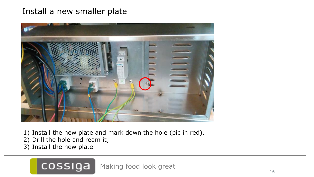## Install a new smaller plate



- 1) Install the new plate and mark down the hole (pic in red).
- 2) Drill the hole and ream it;

cossiga

3) Install the new plate

Making food look great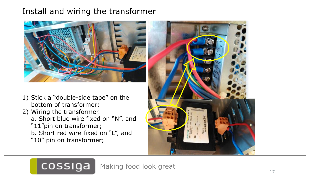## Install and wiring the transformer



- 1) Stick a "double-side tape" on the bottom of transformer;
- 2) Wiring the transformer.
	- a. Short blue wire fixed on "N", and "11"pin on transformer;
	- b. Short red wire fixed on "L", and "10" pin on transformer;

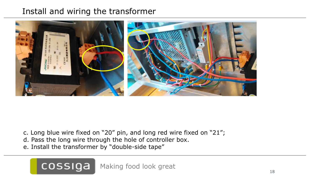## Install and wiring the transformer



- c. Long blue wire fixed on "20" pin, and long red wire fixed on "21";
- d. Pass the long wire through the hole of controller box.
- e. Install the transformer by "double-side tape"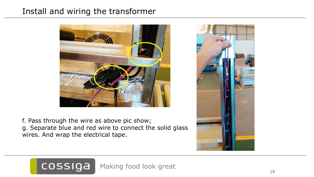## Install and wiring the transformer



f. Pass through the wire as above pic show; g. Separate blue and red wire to connect the solid glass wires. And wrap the electrical tape.

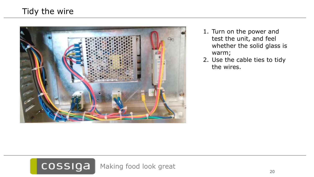

- 1. Turn on the power and test the unit, and feel whether the solid glass is warm;
- 2. Use the cable ties to tidy the wires.